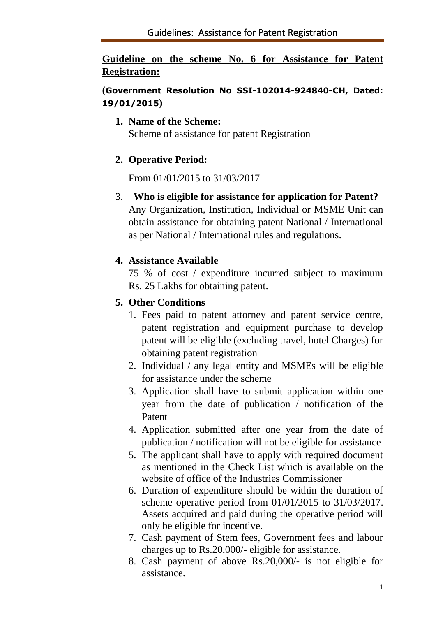# **Guideline on the scheme No. 6 for Assistance for Patent Registration:**

# **(Government Resolution No SSI-102014-924840-CH, Dated: 19/01/2015)**

#### **1. Name of the Scheme:**

Scheme of assistance for patent Registration

# **2. Operative Period:**

From 01/01/2015 to 31/03/2017

3. **Who is eligible for assistance for application for Patent?** Any Organization, Institution, Individual or MSME Unit can obtain assistance for obtaining patent National / International

as per National / International rules and regulations.

# **4. Assistance Available**

75 % of cost / expenditure incurred subject to maximum Rs. 25 Lakhs for obtaining patent.

# **5. Other Conditions**

- 1. Fees paid to patent attorney and patent service centre, patent registration and equipment purchase to develop patent will be eligible (excluding travel, hotel Charges) for obtaining patent registration
- 2. Individual / any legal entity and MSMEs will be eligible for assistance under the scheme
- 3. Application shall have to submit application within one year from the date of publication / notification of the Patent
- 4. Application submitted after one year from the date of publication / notification will not be eligible for assistance
- 5. The applicant shall have to apply with required document as mentioned in the Check List which is available on the website of office of the Industries Commissioner
- 6. Duration of expenditure should be within the duration of scheme operative period from 01/01/2015 to 31/03/2017. Assets acquired and paid during the operative period will only be eligible for incentive.
- 7. Cash payment of Stem fees, Government fees and labour charges up to Rs.20,000/- eligible for assistance.
- 8. Cash payment of above Rs.20,000/- is not eligible for assistance.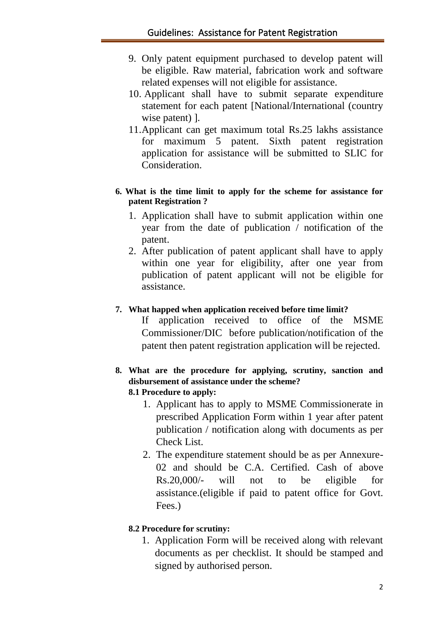- 9. Only patent equipment purchased to develop patent will be eligible. Raw material, fabrication work and software related expenses will not eligible for assistance.
- 10. Applicant shall have to submit separate expenditure statement for each patent [National/International (country wise patent) ].
- 11.Applicant can get maximum total Rs.25 lakhs assistance for maximum 5 patent. Sixth patent registration application for assistance will be submitted to SLIC for Consideration.

#### **6. What is the time limit to apply for the scheme for assistance for patent Registration ?**

- 1. Application shall have to submit application within one year from the date of publication / notification of the patent.
- 2. After publication of patent applicant shall have to apply within one year for eligibility, after one year from publication of patent applicant will not be eligible for assistance.

### **7. What happed when application received before time limit?**

If application received to office of the MSME Commissioner/DIC before publication/notification of the patent then patent registration application will be rejected.

#### **8. What are the procedure for applying, scrutiny, sanction and disbursement of assistance under the scheme? 8.1 Procedure to apply:**

- 1. Applicant has to apply to MSME Commissionerate in prescribed Application Form within 1 year after patent publication / notification along with documents as per Check List.
- 2. The expenditure statement should be as per Annexure-02 and should be C.A. Certified. Cash of above Rs.20,000/- will not to be eligible for assistance.(eligible if paid to patent office for Govt. Fees.)

#### **8.2 Procedure for scrutiny:**

1. Application Form will be received along with relevant documents as per checklist. It should be stamped and signed by authorised person.